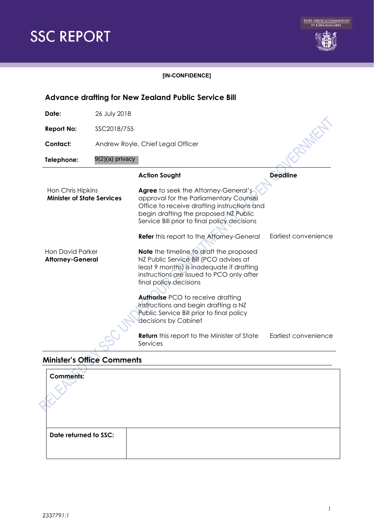



#### **[IN-CONFIDENCE]**

### **Action Sought Deadline** Hon Chris Hipkins **Minister of State Services Agree** to seek the Attorney-General's approval for the Parliamentary Counsel Office to receive drafting instructions and begin drafting the proposed NZ Public Service Bill prior to final policy decisions Refer this report to the Attorney-General Earliest convenience Hon David Parker **Attorney-General Note** the timeline to draft the proposed NZ Public Service Bill (PCO advises at least 9 months) is inadequate if drafting instructions are issued to PCO only after final policy decisions **Authorise** PCO to receive drafting instructions and begin drafting a NZ Public Service Bill prior to final policy decisions by Cabinet **Return** this report to the Minister of State Services Earliest convenience **Advance drafting for New Zealand Public Service Bill Date:** 26 July 2018 **Report No:** SSC2018/755 **Contact:** Andrew Royle, Chief Legal Officer **Telephone:** 9(2)(a) privacy

## **Minister's Office Comments**

| $\mathcal{L}$<br>and in<br><b>Comments:</b> |  |
|---------------------------------------------|--|
| Date returned to SSC:                       |  |

*2337791:1*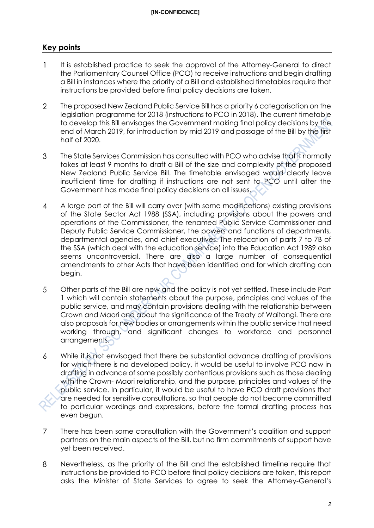# **Key points**

- $\mathbf{1}$ It is established practice to seek the approval of the Attorney-General to direct the Parliamentary Counsel Office (PCO) to receive instructions and begin drafting a Bill in instances where the priority of a Bill and established timetables require that instructions be provided before final policy decisions are taken.
- $\overline{2}$ The proposed New Zealand Public Service Bill has a priority 6 categorisation on the legislation programme for 2018 (instructions to PCO in 2018). The current timetable to develop this Bill envisages the Government making final policy decisions by the end of March 2019, for introduction by mid 2019 and passage of the Bill by the first half of 2020.
- 3 The State Services Commission has consulted with PCO who advise that it normally takes at least 9 months to draft a Bill of the size and complexity of the proposed New Zealand Public Service Bill. The timetable envisaged would clearly leave insufficient time for drafting if instructions are not sent to PCO until after the Government has made final policy decisions on all issues.
- A large part of the Bill will carry over (with some modifications) existing provisions  $\overline{4}$ of the State Sector Act 1988 (SSA), including provisions about the powers and operations of the Commissioner, the renamed Public Service Commissioner and Deputy Public Service Commissioner, the powers and functions of departments, departmental agencies, and chief executives. The relocation of parts 7 to 7B of the SSA (which deal with the education service) into the Education Act 1989 also seems uncontroversial. There are also a large number of consequential amendments to other Acts that have been identified and for which drafting can begin.
- 5 Other parts of the Bill are new and the policy is not yet settled. These include Part 1 which will contain statements about the purpose, principles and values of the public service, and may contain provisions dealing with the relationship between Crown and Maori and about the significance of the Treaty of Waitangi. There are also proposals for new bodies or arrangements within the public service that need working through, and significant changes to workforce and personnel arrangements.
- 6 While it is not envisaged that there be substantial advance drafting of provisions for which there is no developed policy, it would be useful to involve PCO now in drafting in advance of some possibly contentious provisions such as those dealing with the Crown- Maori relationship, and the purpose, principles and values of the public service. In particular, it would be useful to have PCO draft provisions that are needed for sensitive consultations, so that people do not become committed to particular wordings and expressions, before the formal drafting process has even begun.
- $\overline{7}$ There has been some consultation with the Government's coalition and support partners on the main aspects of the Bill, but no firm commitments of support have yet been received.
- 8 Nevertheless, as the priority of the Bill and the established timeline require that instructions be provided to PCO before final policy decisions are taken, this report asks the Minister of State Services to agree to seek the Attorney-General's